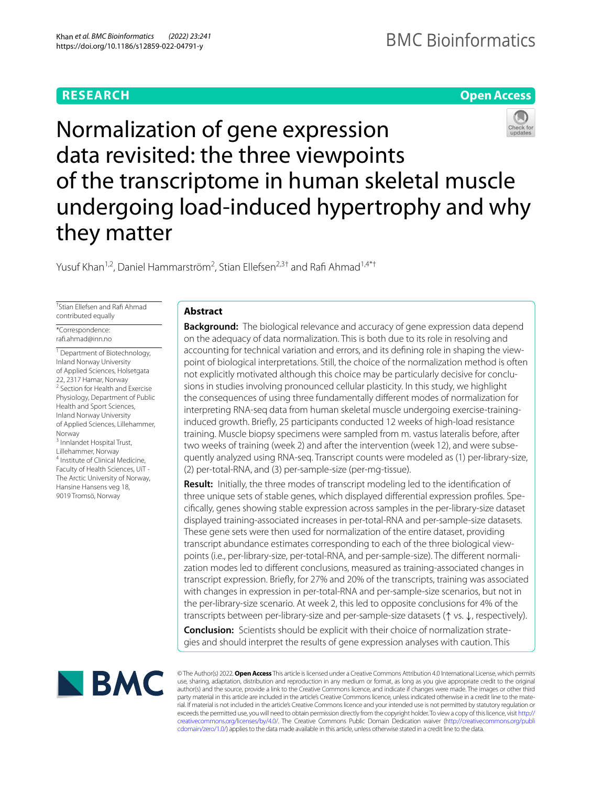# **RESEARCH**

# **Open Access**

# Normalization of gene expression data revisited: the three viewpoints of the transcriptome in human skeletal muscle undergoing load‑induced hypertrophy and why they matter

Yusuf Khan<sup>1,2</sup>, Daniel Hammarström<sup>2</sup>, Stian Ellefsen<sup>2,3†</sup> and Rafi Ahmad<sup>1,4\*†</sup>

† Stian Ellefsen and Raf Ahmad contributed equally

\*Correspondence: raf.ahmad@inn.no

<sup>1</sup> Department of Biotechnology, Inland Norway University of Applied Sciences, Holsetgata 22, 2317 Hamar, Norway <sup>2</sup> Section for Health and Exercise Physiology, Department of Public Health and Sport Sciences, Inland Norway University of Applied Sciences, Lillehammer, Norway 3 Innlandet Hospital Trust, Lillehammer, Norway

4 Institute of Clinical Medicine, Faculty of Health Sciences, UiT - The Arctic University of Norway, Hansine Hansens veg 18, 9019 Tromsö, Norway

# **Abstract**

**Background:** The biological relevance and accuracy of gene expression data depend on the adequacy of data normalization. This is both due to its role in resolving and accounting for technical variation and errors, and its defning role in shaping the viewpoint of biological interpretations. Still, the choice of the normalization method is often not explicitly motivated although this choice may be particularly decisive for conclusions in studies involving pronounced cellular plasticity. In this study, we highlight the consequences of using three fundamentally diferent modes of normalization for interpreting RNA-seq data from human skeletal muscle undergoing exercise-traininginduced growth. Briefy, 25 participants conducted 12 weeks of high-load resistance training. Muscle biopsy specimens were sampled from m. vastus lateralis before, after two weeks of training (week 2) and after the intervention (week 12), and were subsequently analyzed using RNA-seq. Transcript counts were modeled as (1) per-library-size, (2) per-total-RNA, and (3) per-sample-size (per-mg-tissue).

**Result:** Initially, the three modes of transcript modeling led to the identifcation of three unique sets of stable genes, which displayed diferential expression profles. Specifcally, genes showing stable expression across samples in the per-library-size dataset displayed training-associated increases in per-total-RNA and per-sample-size datasets. These gene sets were then used for normalization of the entire dataset, providing transcript abundance estimates corresponding to each of the three biological viewpoints (i.e., per-library-size, per-total-RNA, and per-sample-size). The diferent normalization modes led to diferent conclusions, measured as training-associated changes in transcript expression. Briefy, for 27% and 20% of the transcripts, training was associated with changes in expression in per-total-RNA and per-sample-size scenarios, but not in the per-library-size scenario. At week 2, this led to opposite conclusions for 4% of the transcripts between per-library-size and per-sample-size datasets (↑ vs. ↓, respectively).

**Conclusion:** Scientists should be explicit with their choice of normalization strategies and should interpret the results of gene expression analyses with caution. This



© The Author(s) 2022. **Open Access** This article is licensed under a Creative Commons Attribution 4.0 International License, which permits use, sharing, adaptation, distribution and reproduction in any medium or format, as long as you give appropriate credit to the original author(s) and the source, provide a link to the Creative Commons licence, and indicate if changes were made. The images or other third party material in this article are included in the article's Creative Commons licence, unless indicated otherwise in a credit line to the material. If material is not included in the article's Creative Commons licence and your intended use is not permitted by statutory regulation or exceeds the permitted use, you will need to obtain permission directly from the copyright holder. To view a copy of this licence, visit [http://](http://creativecommons.org/licenses/by/4.0/) [creativecommons.org/licenses/by/4.0/.](http://creativecommons.org/licenses/by/4.0/) The Creative Commons Public Domain Dedication waiver [\(http://creativecommons.org/publi](http://creativecommons.org/publicdomain/zero/1.0/) [cdomain/zero/1.0/\)](http://creativecommons.org/publicdomain/zero/1.0/) applies to the data made available in this article, unless otherwise stated in a credit line to the data.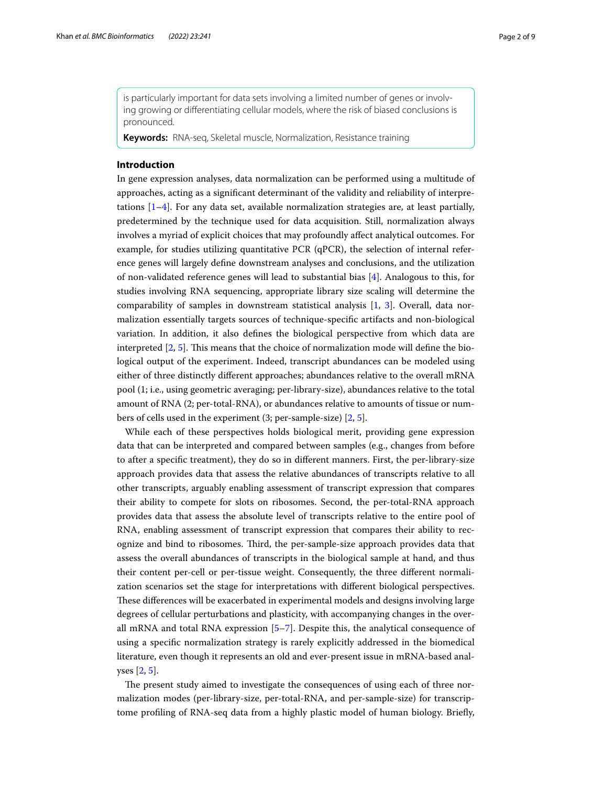is particularly important for data sets involving a limited number of genes or involving growing or diferentiating cellular models, where the risk of biased conclusions is pronounced.

**Keywords:** RNA-seq, Skeletal muscle, Normalization, Resistance training

#### **Introduction**

In gene expression analyses, data normalization can be performed using a multitude of approaches, acting as a signifcant determinant of the validity and reliability of interpretations  $[1-4]$  $[1-4]$  $[1-4]$ . For any data set, available normalization strategies are, at least partially, predetermined by the technique used for data acquisition. Still, normalization always involves a myriad of explicit choices that may profoundly afect analytical outcomes. For example, for studies utilizing quantitative PCR ( $qPCR$ ), the selection of internal reference genes will largely defne downstream analyses and conclusions, and the utilization of non-validated reference genes will lead to substantial bias [[4\]](#page-8-1). Analogous to this, for studies involving RNA sequencing, appropriate library size scaling will determine the comparability of samples in downstream statistical analysis [[1,](#page-8-0) [3](#page-8-2)]. Overall, data normalization essentially targets sources of technique-specifc artifacts and non-biological variation. In addition, it also defnes the biological perspective from which data are interpreted  $[2, 5]$  $[2, 5]$  $[2, 5]$ . This means that the choice of normalization mode will define the biological output of the experiment. Indeed, transcript abundances can be modeled using either of three distinctly diferent approaches; abundances relative to the overall mRNA pool (1; i.e., using geometric averaging; per-library-size), abundances relative to the total amount of RNA (2; per-total-RNA), or abundances relative to amounts of tissue or numbers of cells used in the experiment (3; per-sample-size) [[2,](#page-8-3) [5](#page-8-4)].

While each of these perspectives holds biological merit, providing gene expression data that can be interpreted and compared between samples (e.g., changes from before to after a specifc treatment), they do so in diferent manners. First, the per-library-size approach provides data that assess the relative abundances of transcripts relative to all other transcripts, arguably enabling assessment of transcript expression that compares their ability to compete for slots on ribosomes. Second, the per-total-RNA approach provides data that assess the absolute level of transcripts relative to the entire pool of RNA, enabling assessment of transcript expression that compares their ability to recognize and bind to ribosomes. Tird, the per-sample-size approach provides data that assess the overall abundances of transcripts in the biological sample at hand, and thus their content per-cell or per-tissue weight. Consequently, the three diferent normalization scenarios set the stage for interpretations with diferent biological perspectives. These differences will be exacerbated in experimental models and designs involving large degrees of cellular perturbations and plasticity, with accompanying changes in the overall mRNA and total RNA expression [\[5–](#page-8-4)[7\]](#page-8-5). Despite this, the analytical consequence of using a specifc normalization strategy is rarely explicitly addressed in the biomedical literature, even though it represents an old and ever-present issue in mRNA-based analyses [[2,](#page-8-3) [5](#page-8-4)].

The present study aimed to investigate the consequences of using each of three normalization modes (per-library-size, per-total-RNA, and per-sample-size) for transcriptome profling of RNA-seq data from a highly plastic model of human biology. Briefy,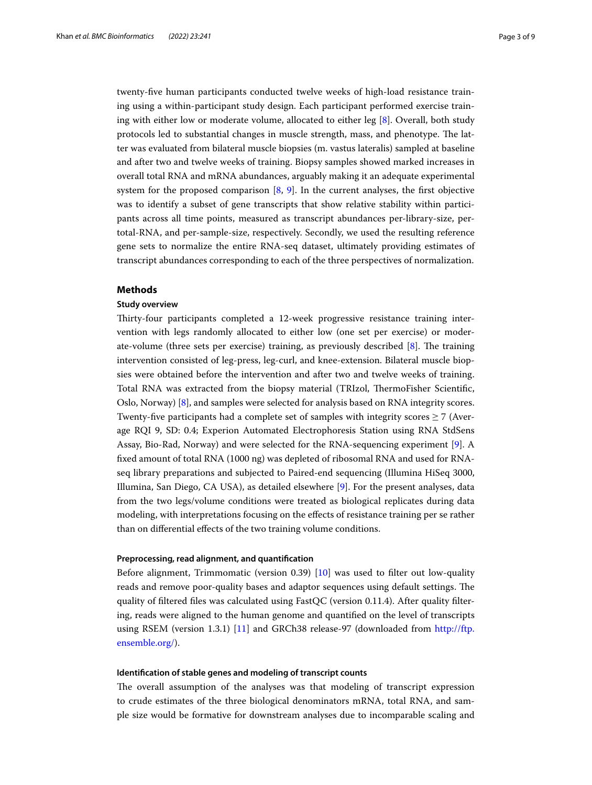twenty-fve human participants conducted twelve weeks of high-load resistance training using a within-participant study design. Each participant performed exercise training with either low or moderate volume, allocated to either leg [[8\]](#page-8-6). Overall, both study protocols led to substantial changes in muscle strength, mass, and phenotype. The latter was evaluated from bilateral muscle biopsies (m. vastus lateralis) sampled at baseline and after two and twelve weeks of training. Biopsy samples showed marked increases in overall total RNA and mRNA abundances, arguably making it an adequate experimental system for the proposed comparison  $[8, 9]$  $[8, 9]$  $[8, 9]$  $[8, 9]$ . In the current analyses, the first objective was to identify a subset of gene transcripts that show relative stability within participants across all time points, measured as transcript abundances per-library-size, pertotal-RNA, and per-sample-size, respectively. Secondly, we used the resulting reference gene sets to normalize the entire RNA-seq dataset, ultimately providing estimates of transcript abundances corresponding to each of the three perspectives of normalization.

## **Methods**

# **Study overview**

Thirty-four participants completed a 12-week progressive resistance training intervention with legs randomly allocated to either low (one set per exercise) or moderate-volume (three sets per exercise) training, as previously described  $[8]$  $[8]$ . The training intervention consisted of leg-press, leg-curl, and knee-extension. Bilateral muscle biopsies were obtained before the intervention and after two and twelve weeks of training. Total RNA was extracted from the biopsy material (TRIzol, ThermoFisher Scientific, Oslo, Norway) [\[8](#page-8-6)], and samples were selected for analysis based on RNA integrity scores. Twenty-five participants had a complete set of samples with integrity scores  $\geq 7$  (Average RQI 9, SD: 0.4; Experion Automated Electrophoresis Station using RNA StdSens Assay, Bio-Rad, Norway) and were selected for the RNA-sequencing experiment [\[9](#page-8-7)]. A fxed amount of total RNA (1000 ng) was depleted of ribosomal RNA and used for RNAseq library preparations and subjected to Paired-end sequencing (Illumina HiSeq 3000, Illumina, San Diego, CA USA), as detailed elsewhere [\[9](#page-8-7)]. For the present analyses, data from the two legs/volume conditions were treated as biological replicates during data modeling, with interpretations focusing on the efects of resistance training per se rather than on diferential efects of the two training volume conditions.

## **Preprocessing, read alignment, and quantifcation**

Before alignment, Trimmomatic (version 0.39) [[10\]](#page-8-8) was used to flter out low-quality reads and remove poor-quality bases and adaptor sequences using default settings. The quality of fltered fles was calculated using FastQC (version 0.11.4). After quality fltering, reads were aligned to the human genome and quantifed on the level of transcripts using RSEM (version 1.3.1) [\[11](#page-8-9)] and GRCh38 release-97 (downloaded from [http://ftp.](http://ftp.ensemble.org/) [ensemble.org/\)](http://ftp.ensemble.org/).

# **Identifcation of stable genes and modeling of transcript counts**

The overall assumption of the analyses was that modeling of transcript expression to crude estimates of the three biological denominators mRNA, total RNA, and sample size would be formative for downstream analyses due to incomparable scaling and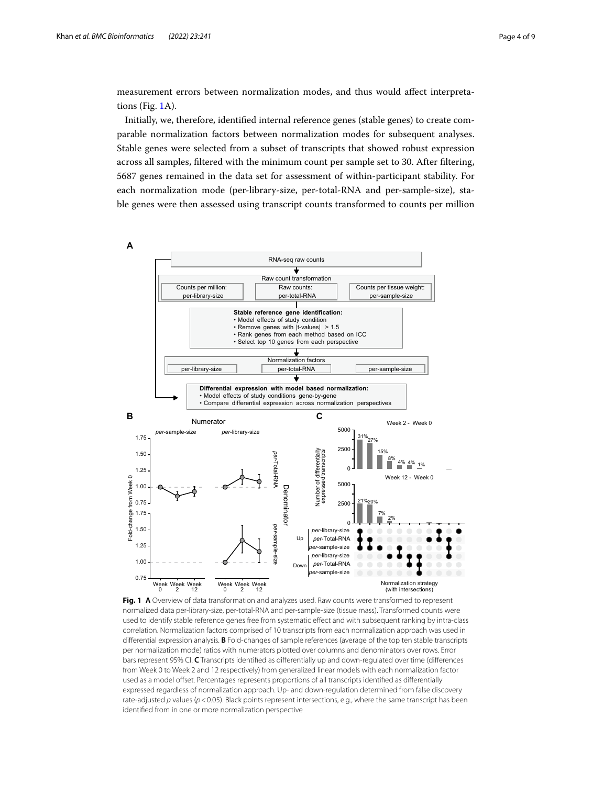measurement errors between normalization modes, and thus would afect interpretations (Fig. [1](#page-3-0)A).

Initially, we, therefore, identifed internal reference genes (stable genes) to create comparable normalization factors between normalization modes for subsequent analyses. Stable genes were selected from a subset of transcripts that showed robust expression across all samples, fltered with the minimum count per sample set to 30. After fltering, 5687 genes remained in the data set for assessment of within-participant stability. For each normalization mode (per-library-size, per-total-RNA and per-sample-size), stable genes were then assessed using transcript counts transformed to counts per million



<span id="page-3-0"></span>**Fig. 1 A** Overview of data transformation and analyzes used. Raw counts were transformed to represent normalized data per-library-size, per-total-RNA and per-sample-size (tissue mass). Transformed counts were used to identify stable reference genes free from systematic efect and with subsequent ranking by intra-class correlation. Normalization factors comprised of 10 transcripts from each normalization approach was used in diferential expression analysis. **B** Fold-changes of sample references (average of the top ten stable transcripts per normalization mode) ratios with numerators plotted over columns and denominators over rows. Error bars represent 95% CI. **C** Transcripts identifed as diferentially up and down-regulated over time (diferences from Week 0 to Week 2 and 12 respectively) from generalized linear models with each normalization factor used as a model ofset. Percentages represents proportions of all transcripts identifed as diferentially expressed regardless of normalization approach. Up- and down-regulation determined from false discovery rate-adjusted *p* values ( $p$  < 0.05). Black points represent intersections, e.g., where the same transcript has been identifed from in one or more normalization perspective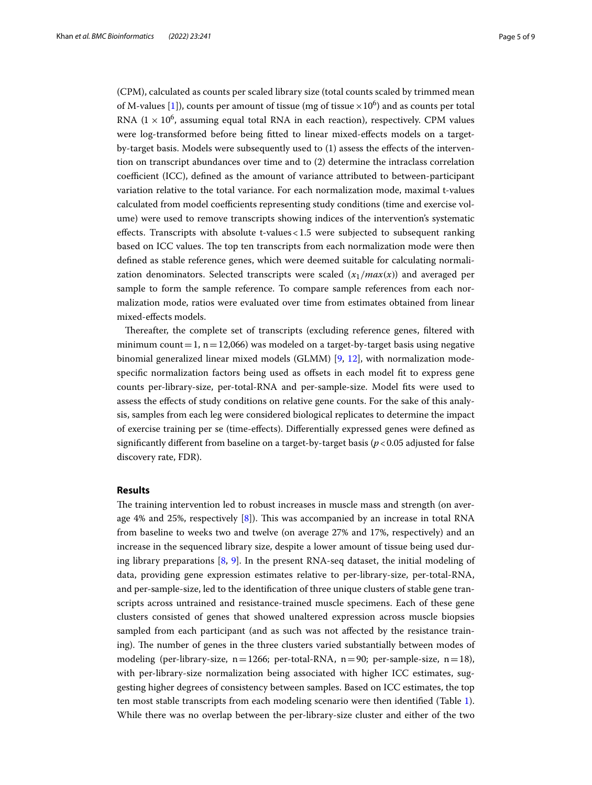(CPM), calculated as counts per scaled library size (total counts scaled by trimmed mean of M-values [[1\]](#page-8-0)), counts per amount of tissue (mg of tissue  $\times 10^6$ ) and as counts per total RNA ( $1 \times 10^6$ , assuming equal total RNA in each reaction), respectively. CPM values were log-transformed before being ftted to linear mixed-efects models on a targetby-target basis. Models were subsequently used to (1) assess the efects of the intervention on transcript abundances over time and to (2) determine the intraclass correlation coefficient (ICC), defined as the amount of variance attributed to between-participant variation relative to the total variance. For each normalization mode, maximal t-values calculated from model coefficients representing study conditions (time and exercise volume) were used to remove transcripts showing indices of the intervention's systematic efects. Transcripts with absolute t-values<1.5 were subjected to subsequent ranking based on ICC values. The top ten transcripts from each normalization mode were then defned as stable reference genes, which were deemed suitable for calculating normalization denominators. Selected transcripts were scaled  $(x_1/max(x))$  and averaged per sample to form the sample reference. To compare sample references from each normalization mode, ratios were evaluated over time from estimates obtained from linear mixed-efects models.

Thereafter, the complete set of transcripts (excluding reference genes, filtered with minimum count = 1, n = 12,066) was modeled on a target-by-target basis using negative binomial generalized linear mixed models (GLMM) [\[9](#page-8-7), [12\]](#page-8-10), with normalization modespecific normalization factors being used as offsets in each model fit to express gene counts per-library-size, per-total-RNA and per-sample-size. Model fts were used to assess the efects of study conditions on relative gene counts. For the sake of this analysis, samples from each leg were considered biological replicates to determine the impact of exercise training per se (time-efects). Diferentially expressed genes were defned as signifcantly diferent from baseline on a target-by-target basis (*p*<0.05 adjusted for false discovery rate, FDR).

# **Results**

The training intervention led to robust increases in muscle mass and strength (on average 4% and 25%, respectively  $[8]$  $[8]$ ). This was accompanied by an increase in total RNA from baseline to weeks two and twelve (on average 27% and 17%, respectively) and an increase in the sequenced library size, despite a lower amount of tissue being used during library preparations [\[8](#page-8-6), [9\]](#page-8-7). In the present RNA-seq dataset, the initial modeling of data, providing gene expression estimates relative to per-library-size, per-total-RNA, and per-sample-size, led to the identifcation of three unique clusters of stable gene transcripts across untrained and resistance-trained muscle specimens. Each of these gene clusters consisted of genes that showed unaltered expression across muscle biopsies sampled from each participant (and as such was not afected by the resistance training). The number of genes in the three clusters varied substantially between modes of modeling (per-library-size,  $n=1266$ ; per-total-RNA,  $n=90$ ; per-sample-size,  $n=18$ ), with per-library-size normalization being associated with higher ICC estimates, suggesting higher degrees of consistency between samples. Based on ICC estimates, the top ten most stable transcripts from each modeling scenario were then identifed (Table [1](#page-5-0)). While there was no overlap between the per-library-size cluster and either of the two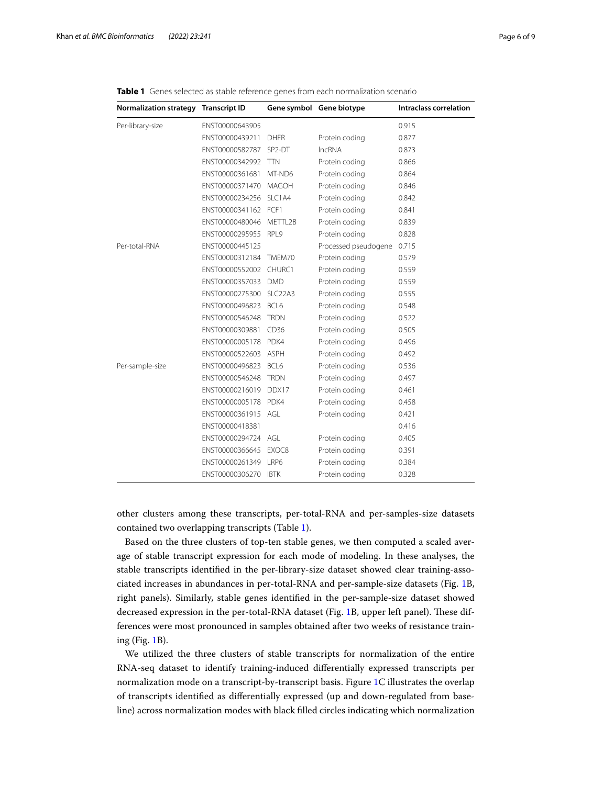| <b>Normalization strategy</b> | <b>Transcript ID</b> |                                  | Gene symbol Gene biotype | <b>Intraclass correlation</b> |
|-------------------------------|----------------------|----------------------------------|--------------------------|-------------------------------|
| Per-library-size              | ENST00000643905      |                                  |                          | 0.915                         |
|                               | ENST00000439211      | <b>DHFR</b>                      | Protein coding           | 0.877                         |
|                               | ENST00000582787      | SP <sub>2</sub> -DT              | <b>IncRNA</b>            | 0.873                         |
|                               | ENST00000342992      | <b>TTN</b>                       | Protein coding           | 0.866                         |
|                               | ENST00000361681      | MT-ND6                           | Protein coding           | 0.864                         |
|                               | ENST00000371470      | <b>MAGOH</b>                     | Protein coding           | 0.846                         |
|                               | ENST00000234256      | SI C1A4                          | Protein coding           | 0.842                         |
|                               | ENST00000341162      | FCF1                             | Protein coding           | 0.841                         |
|                               | ENST00000480046      | METTL2B                          | Protein coding           | 0.839                         |
|                               | ENST00000295955      | RPL9                             | Protein coding           | 0.828                         |
| Per-total-RNA                 | ENST00000445125      |                                  | Processed pseudogene     | 0.715                         |
|                               | ENST00000312184      | TMFM70                           | Protein coding           | 0.579                         |
|                               | ENST00000552002      | CHURC1                           | Protein coding           | 0.559                         |
|                               | ENST00000357033      | <b>DMD</b>                       | Protein coding           | 0.559                         |
|                               | ENST00000275300      | SLC <sub>22</sub> A <sub>3</sub> | Protein coding           | 0.555                         |
|                               | ENST00000496823      | BCL6                             | Protein coding           | 0.548                         |
|                               | ENST00000546248      | <b>TRDN</b>                      | Protein coding           | 0.522                         |
|                               | ENST00000309881      | CD36                             | Protein coding           | 0.505                         |
|                               | ENST00000005178      | PDK4                             | Protein coding           | 0.496                         |
|                               | ENST00000522603      | <b>ASPH</b>                      | Protein coding           | 0.492                         |
| Per-sample-size               | ENST00000496823      | BCL6                             | Protein coding           | 0.536                         |
|                               | ENST00000546248      | <b>TRDN</b>                      | Protein coding           | 0.497                         |
|                               | ENST00000216019      | DDX17                            | Protein coding           | 0.461                         |
|                               | ENST00000005178 PDK4 |                                  | Protein coding           | 0.458                         |
|                               | ENST00000361915      | AGL                              | Protein coding           | 0.421                         |
|                               | ENST00000418381      |                                  |                          | 0.416                         |
|                               | ENST00000294724      | AGI                              | Protein coding           | 0.405                         |
|                               | ENST00000366645      | EXOC8                            | Protein coding           | 0.391                         |
|                               | ENST00000261349      | LRP6                             | Protein coding           | 0.384                         |
|                               | ENST00000306270      | <b>IBTK</b>                      | Protein coding           | 0.328                         |

<span id="page-5-0"></span>**Table 1** Genes selected as stable reference genes from each normalization scenario

other clusters among these transcripts, per-total-RNA and per-samples-size datasets contained two overlapping transcripts (Table [1\)](#page-5-0).

Based on the three clusters of top-ten stable genes, we then computed a scaled average of stable transcript expression for each mode of modeling. In these analyses, the stable transcripts identifed in the per-library-size dataset showed clear training-associated increases in abundances in per-total-RNA and per-sample-size datasets (Fig. [1](#page-3-0)B, right panels). Similarly, stable genes identifed in the per-sample-size dataset showed decreased expression in the per-total-RNA dataset (Fig. [1](#page-3-0)B, upper left panel). These differences were most pronounced in samples obtained after two weeks of resistance training (Fig. [1B](#page-3-0)).

We utilized the three clusters of stable transcripts for normalization of the entire RNA-seq dataset to identify training-induced diferentially expressed transcripts per normalization mode on a transcript-by-transcript basis. Figure [1C](#page-3-0) illustrates the overlap of transcripts identifed as diferentially expressed (up and down-regulated from baseline) across normalization modes with black flled circles indicating which normalization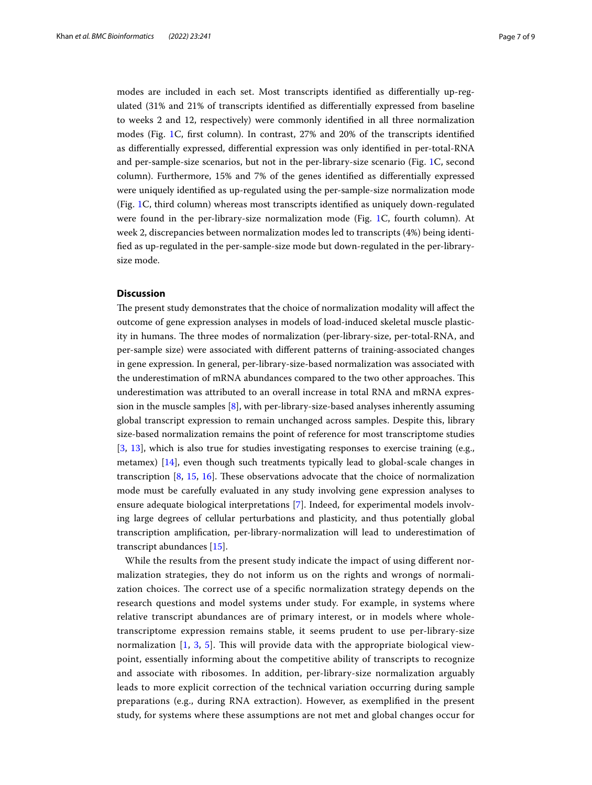modes are included in each set. Most transcripts identifed as diferentially up-regulated (31% and 21% of transcripts identifed as diferentially expressed from baseline to weeks 2 and 12, respectively) were commonly identifed in all three normalization modes (Fig. [1](#page-3-0)C, frst column). In contrast, 27% and 20% of the transcripts identifed as diferentially expressed, diferential expression was only identifed in per-total-RNA and per-sample-size scenarios, but not in the per-library-size scenario (Fig. [1C](#page-3-0), second column). Furthermore, 15% and 7% of the genes identifed as diferentially expressed were uniquely identifed as up-regulated using the per-sample-size normalization mode (Fig. [1](#page-3-0)C, third column) whereas most transcripts identifed as uniquely down-regulated were found in the per-library-size normalization mode (Fig. [1](#page-3-0)C, fourth column). At week 2, discrepancies between normalization modes led to transcripts (4%) being identifed as up-regulated in the per-sample-size mode but down-regulated in the per-librarysize mode.

# **Discussion**

The present study demonstrates that the choice of normalization modality will affect the outcome of gene expression analyses in models of load-induced skeletal muscle plasticity in humans. The three modes of normalization (per-library-size, per-total-RNA, and per-sample size) were associated with diferent patterns of training-associated changes in gene expression. In general, per-library-size-based normalization was associated with the underestimation of mRNA abundances compared to the two other approaches. Tis underestimation was attributed to an overall increase in total RNA and mRNA expression in the muscle samples [[8\]](#page-8-6), with per-library-size-based analyses inherently assuming global transcript expression to remain unchanged across samples. Despite this, library size-based normalization remains the point of reference for most transcriptome studies [[3,](#page-8-2) [13](#page-8-11)], which is also true for studies investigating responses to exercise training (e.g., metamex) [[14](#page-8-12)], even though such treatments typically lead to global-scale changes in transcription  $[8, 15, 16]$  $[8, 15, 16]$  $[8, 15, 16]$  $[8, 15, 16]$  $[8, 15, 16]$  $[8, 15, 16]$  $[8, 15, 16]$ . These observations advocate that the choice of normalization mode must be carefully evaluated in any study involving gene expression analyses to ensure adequate biological interpretations [[7\]](#page-8-5). Indeed, for experimental models involving large degrees of cellular perturbations and plasticity, and thus potentially global transcription amplifcation, per-library-normalization will lead to underestimation of transcript abundances [[15\]](#page-8-13).

While the results from the present study indicate the impact of using diferent normalization strategies, they do not inform us on the rights and wrongs of normalization choices. The correct use of a specific normalization strategy depends on the research questions and model systems under study. For example, in systems where relative transcript abundances are of primary interest, or in models where wholetranscriptome expression remains stable, it seems prudent to use per-library-size normalization [[1](#page-8-0), [3](#page-8-2), [5](#page-8-4)]. This will provide data with the appropriate biological viewpoint, essentially informing about the competitive ability of transcripts to recognize and associate with ribosomes. In addition, per-library-size normalization arguably leads to more explicit correction of the technical variation occurring during sample preparations (e.g., during RNA extraction). However, as exemplifed in the present study, for systems where these assumptions are not met and global changes occur for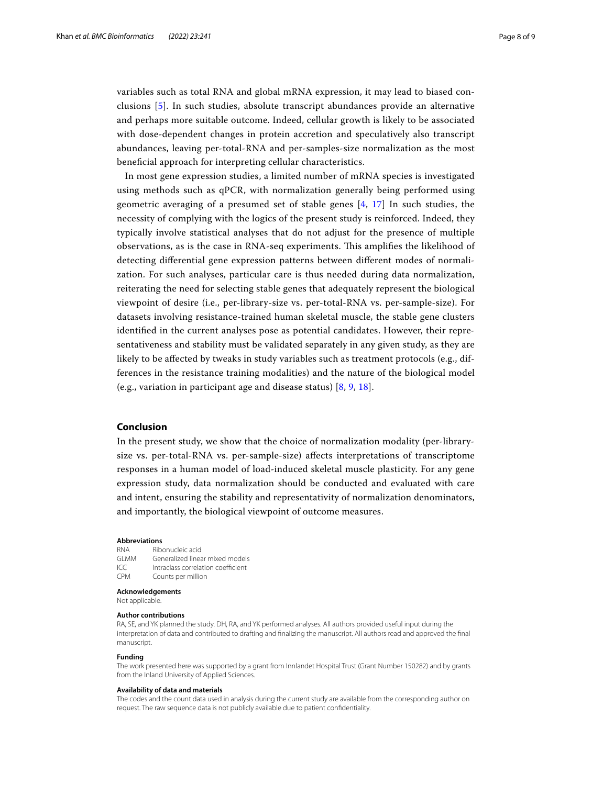variables such as total RNA and global mRNA expression, it may lead to biased conclusions [[5](#page-8-4)]. In such studies, absolute transcript abundances provide an alternative and perhaps more suitable outcome. Indeed, cellular growth is likely to be associated with dose-dependent changes in protein accretion and speculatively also transcript abundances, leaving per-total-RNA and per-samples-size normalization as the most benefcial approach for interpreting cellular characteristics.

In most gene expression studies, a limited number of mRNA species is investigated using methods such as qPCR, with normalization generally being performed using geometric averaging of a presumed set of stable genes  $[4, 17]$  $[4, 17]$  $[4, 17]$  $[4, 17]$  $[4, 17]$  In such studies, the necessity of complying with the logics of the present study is reinforced. Indeed, they typically involve statistical analyses that do not adjust for the presence of multiple observations, as is the case in RNA-seq experiments. Tis amplifes the likelihood of detecting diferential gene expression patterns between diferent modes of normalization. For such analyses, particular care is thus needed during data normalization, reiterating the need for selecting stable genes that adequately represent the biological viewpoint of desire (i.e., per-library-size vs. per-total-RNA vs. per-sample-size). For datasets involving resistance-trained human skeletal muscle, the stable gene clusters identifed in the current analyses pose as potential candidates. However, their representativeness and stability must be validated separately in any given study, as they are likely to be afected by tweaks in study variables such as treatment protocols (e.g., differences in the resistance training modalities) and the nature of the biological model (e.g., variation in participant age and disease status) [[8,](#page-8-6) [9,](#page-8-7) [18\]](#page-8-16).

# **Conclusion**

In the present study, we show that the choice of normalization modality (per-librarysize vs. per-total-RNA vs. per-sample-size) afects interpretations of transcriptome responses in a human model of load-induced skeletal muscle plasticity. For any gene expression study, data normalization should be conducted and evaluated with care and intent, ensuring the stability and representativity of normalization denominators, and importantly, the biological viewpoint of outcome measures.

#### **Abbreviations**

| <b>RNA</b> | Ribonucleic acid                   |
|------------|------------------------------------|
| GI MM      | Generalized linear mixed models    |
| ICC        | Intraclass correlation coefficient |
| <b>CPM</b> | Counts per million                 |

**Acknowledgements**

### Not applicable.

#### **Author contributions**

RA, SE, and YK planned the study. DH, RA, and YK performed analyses. All authors provided useful input during the interpretation of data and contributed to drafting and fnalizing the manuscript. All authors read and approved the fnal manuscript.

#### **Funding**

The work presented here was supported by a grant from Innlandet Hospital Trust (Grant Number 150282) and by grants from the Inland University of Applied Sciences.

#### **Availability of data and materials**

The codes and the count data used in analysis during the current study are available from the corresponding author on request. The raw sequence data is not publicly available due to patient confdentiality.